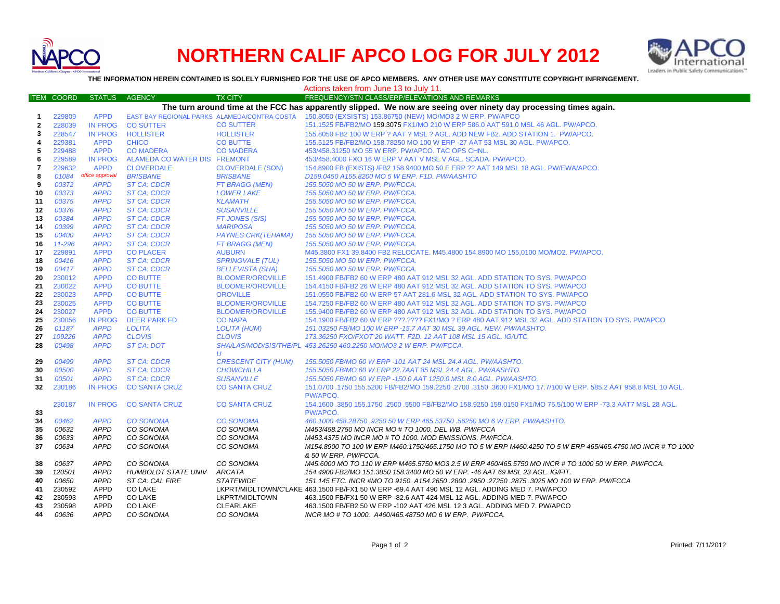

## **NORTHERN CALIF APCO LOG FOR JULY 2012**



**THE INFORMATION HEREIN CONTAINED IS SOLELY FURNISHED FOR THE USE OF APCO MEMBERS. ANY OTHER USE MAY CONSTITUTE COPYRIGHT INFRINGEMENT.**

|              |                                                                                                                   |                            |                                              |                                                 | Actions taken from June 13 to July 11.                                                                                              |  |  |
|--------------|-------------------------------------------------------------------------------------------------------------------|----------------------------|----------------------------------------------|-------------------------------------------------|-------------------------------------------------------------------------------------------------------------------------------------|--|--|
|              | <b>ITEM COORD</b>                                                                                                 | <b>STATUS</b>              | <b>AGENCY</b>                                | <b>TX CITY</b>                                  | FREQUENCY/STN CLASS/ERP/ELEVATIONS AND REMARKS                                                                                      |  |  |
|              | The turn around time at the FCC has apparently slipped. We now are seeing over ninety day processing times again. |                            |                                              |                                                 |                                                                                                                                     |  |  |
| -1           | 229809                                                                                                            | <b>APPD</b>                | EAST BAY REGIONAL PARKS ALAMEDA/CONTRA COSTA |                                                 | 150.8050 (EXSISTS) 153.86750 (NEW) MO/MO3 2 W ERP. PW/APCO                                                                          |  |  |
| $\mathbf{2}$ | 228039                                                                                                            | <b>IN PROG</b>             | <b>CO SUTTER</b>                             | <b>CO SUTTER</b>                                | 151.1525 FB/FB2/MO 159.3075 FX1/MO 210 W ERP 586.0 AAT 591.0 MSL 46 AGL. PW/APCO.                                                   |  |  |
| 3            | 228547                                                                                                            | <b>IN PROG</b>             | <b>HOLLISTER</b>                             | <b>HOLLISTER</b>                                | 155.8050 FB2 100 W ERP ? AAT ? MSL ? AGL. ADD NEW FB2. ADD STATION 1. PW/APCO.                                                      |  |  |
| 4            | 229381                                                                                                            | <b>APPD</b>                | <b>CHICO</b>                                 | <b>CO BUTTE</b>                                 | 155.5125 FB/FB2/MO 158.78250 MO 100 W ERP -27 AAT 53 MSL 30 AGL. PW/APCO.                                                           |  |  |
| 5            | 229488                                                                                                            | <b>APPD</b>                | <b>CO MADERA</b>                             | <b>CO MADERA</b>                                | 453/458.31250 MO 55 W ERP. PW/APCO. TAC OPS CHNL.                                                                                   |  |  |
| 6            | 229589                                                                                                            | <b>IN PROG</b>             | ALAMEDA CO WATER DIS FREMONT                 |                                                 | 453/458.4000 FXO 16 W ERP V AAT V MSL V AGL. SCADA. PW/APCO.                                                                        |  |  |
| 7            | 229632                                                                                                            | <b>APPD</b>                | <b>CLOVERDALE</b>                            | <b>CLOVERDALE (SON)</b>                         | 154.8900 FB (EXISTS) /FB2 158.9400 MO 50 E ERP ?? AAT 149 MSL 18 AGL. PW/EWA/APCO.                                                  |  |  |
| 8            | 01084                                                                                                             | office approval            | <b>BRISBANE</b>                              | <b>BRISBANE</b>                                 | D159.0450 A155.8200 MO 5 W ERP. F1D. PW/AASHTO                                                                                      |  |  |
| 9            | 00372                                                                                                             | <b>APPD</b>                | <b>ST CA: CDCR</b>                           | FT BRAGG (MEN)                                  | 155.5050 MO 50 W ERP. PW/FCCA.                                                                                                      |  |  |
| 10           | 00373                                                                                                             | <b>APPD</b>                | <b>ST CA: CDCR</b>                           | <b>LOWER LAKE</b>                               | 155.5050 MO 50 W ERP. PW/FCCA.                                                                                                      |  |  |
| 11           | 00375                                                                                                             | <b>APPD</b>                | <b>ST CA: CDCR</b>                           | <b>KLAMATH</b>                                  | 155.5050 MO 50 W ERP. PW/FCCA.                                                                                                      |  |  |
| 12           | 00376                                                                                                             | <b>APPD</b>                | <b>ST CA: CDCR</b>                           | <b>SUSANVILLE</b>                               | 155.5050 MO 50 W ERP. PW/FCCA.                                                                                                      |  |  |
| 13           | 00384                                                                                                             | <b>APPD</b>                | <b>ST CA: CDCR</b>                           | <b>FT JONES (SIS)</b>                           | 155.5050 MO 50 W ERP. PW/FCCA.                                                                                                      |  |  |
| 14           | 00399<br>00400                                                                                                    | <b>APPD</b><br><b>APPD</b> | <b>ST CA: CDCR</b><br><b>ST CA: CDCR</b>     | <b>MARIPOSA</b><br><b>PAYNES CRK(TEHAMA)</b>    | 155.5050 MO 50 W ERP. PW/FCCA.                                                                                                      |  |  |
| 15<br>16     | 11-296                                                                                                            | <b>APPD</b>                | <b>ST CA: CDCR</b>                           | FT BRAGG (MEN)                                  | 155.5050 MO 50 W ERP. PW/FCCA.<br>155.5050 MO 50 W ERP. PW/FCCA.                                                                    |  |  |
| 17           | 229891                                                                                                            | <b>APPD</b>                | <b>CO PLACER</b>                             | <b>AUBURN</b>                                   | M45.3800 FX1 39.8400 FB2 RELOCATE. M45.4800 154.8900 MO 155,0100 MO/MO2. PW/APCO.                                                   |  |  |
| 18           | 00416                                                                                                             | <b>APPD</b>                | <b>ST CA: CDCR</b>                           | <b>SPRINGVALE (TUL)</b>                         | 155,5050 MO 50 W ERP. PW/FCCA.                                                                                                      |  |  |
| 19           | 00417                                                                                                             | <b>APPD</b>                | <b>ST CA: CDCR</b>                           | <b>BELLEVISTA (SHA)</b>                         | 155.5050 MO 50 W ERP. PW/FCCA.                                                                                                      |  |  |
| 20           | 230012                                                                                                            | <b>APPD</b>                | <b>CO BUTTE</b>                              | <b>BLOOMER/OROVILLE</b>                         | 151.4900 FB/FB2 60 W ERP 480 AAT 912 MSL 32 AGL. ADD STATION TO SYS. PW/APCO                                                        |  |  |
| 21           | 230022                                                                                                            | <b>APPD</b>                | <b>CO BUTTE</b>                              | <b>BLOOMER/OROVILLE</b>                         | 154.4150 FB/FB2 26 W ERP 480 AAT 912 MSL 32 AGL. ADD STATION TO SYS. PW/APCO                                                        |  |  |
| 22           | 230023                                                                                                            | <b>APPD</b>                | <b>CO BUTTE</b>                              | <b>OROVILLE</b>                                 | 151.0550 FB/FB2 60 W ERP 57 AAT 281.6 MSL 32 AGL. ADD STATION TO SYS. PW/APCO                                                       |  |  |
| 23           | 230025                                                                                                            | <b>APPD</b>                | <b>CO BUTTE</b>                              | <b>BLOOMER/OROVILLE</b>                         | 154.7250 FB/FB2 60 W ERP 480 AAT 912 MSL 32 AGL. ADD STATION TO SYS. PW/APCO                                                        |  |  |
| 24           | 230027                                                                                                            | <b>APPD</b>                | <b>CO BUTTE</b>                              | <b>BLOOMER/OROVILLE</b>                         | 155.9400 FB/FB2 60 W ERP 480 AAT 912 MSL 32 AGL. ADD STATION TO SYS. PW/APCO                                                        |  |  |
| 25           | 230056                                                                                                            | <b>IN PROG</b>             | <b>DEER PARK FD</b>                          | <b>CO NAPA</b>                                  | 154.1900 FB/FB2 60 W ERP ???.???? FX1/MO ? ERP 480 AAT 912 MSL 32 AGL. ADD STATION TO SYS. PW/APCO                                  |  |  |
| 26           | 01187                                                                                                             | <b>APPD</b>                | <b>LOLITA</b>                                | <b>LOLITA (HUM)</b>                             | 151.03250 FB/MO 100 W ERP -15.7 AAT 30 MSL 39 AGL. NEW. PW/AASHTO.                                                                  |  |  |
| 27           | 109226                                                                                                            | <b>APPD</b>                | <b>CLOVIS</b>                                | <b>CLOVIS</b>                                   | 173.36250 FXO/FXOT 20 WATT. F2D. 12 AAT 108 MSL 15 AGL. IG/UTC.                                                                     |  |  |
| 28           | 00498                                                                                                             | <b>APPD</b>                | ST CA: DOT                                   |                                                 | SHA/LAS/MOD/SIS/THE/PL 453.26250 460.2250 MO/MO3 2 W ERP. PW/FCCA.                                                                  |  |  |
|              |                                                                                                                   |                            |                                              | $\boldsymbol{U}$                                |                                                                                                                                     |  |  |
| 29<br>30     | 00499<br>00500                                                                                                    | <b>APPD</b><br><b>APPD</b> | <b>ST CA: CDCR</b><br><b>ST CA: CDCR</b>     | <b>CRESCENT CITY (HUM)</b><br><b>CHOWCHILLA</b> | 155.5050 FB/MO 60 W ERP -101 AAT 24 MSL 24.4 AGL. PW/AASHTO.<br>155.5050 FB/MO 60 W ERP 22.7AAT 85 MSL 24.4 AGL. PW/AASHTO.         |  |  |
| 31           | 00501                                                                                                             | <b>APPD</b>                | <b>ST CA: CDCR</b>                           | <b>SUSANVILLE</b>                               | 155.5050 FB/MO 60 W ERP -150.0 AAT 1250.0 MSL 8.0 AGL. PW/AASHTO.                                                                   |  |  |
| 32           | 230186                                                                                                            | <b>IN PROG</b>             | <b>CO SANTA CRUZ</b>                         | <b>CO SANTA CRUZ</b>                            | 151.0700 .1750 155.5200 FB/FB2/MO 159.2250 .2700 .3150 .3600 FX1/MO 17.7/100 W ERP. 585.2 AAT 958.8 MSL 10 AGL                      |  |  |
|              |                                                                                                                   |                            |                                              |                                                 | PW/APCO.                                                                                                                            |  |  |
|              | 230187                                                                                                            | IN PROG                    | <b>CO SANTA CRUZ</b>                         | <b>CO SANTA CRUZ</b>                            | 154.1600 .3850 155.1750 .2500 .5500 FB/FB2/MO 158.9250 159.0150 FX1/MO 75.5/100 W ERP -73.3 AAT7 MSL 28 AGL.                        |  |  |
| 33           |                                                                                                                   |                            |                                              |                                                 | PW/APCO.                                                                                                                            |  |  |
| 34           | 00462                                                                                                             | <b>APPD</b>                | <b>CO SONOMA</b>                             | <b>CO SONOMA</b>                                | 460.1000 458.28750 .9250 50 W ERP 465.53750 .56250 MO 6 W ERP. PW/AASHTO.                                                           |  |  |
| 35           | 00632                                                                                                             | APPD                       | CO SONOMA                                    | CO SONOMA                                       | M453/458.2750 MO INCR MO # TO 1000. DEL WB. PW/FCCA                                                                                 |  |  |
| 36           | 00633                                                                                                             | <b>APPD</b>                | CO SONOMA                                    | CO SONOMA                                       | M453.4375 MO INCR MO # TO 1000. MOD EMISSIONS. PW/FCCA.                                                                             |  |  |
| 37           | 00634                                                                                                             | <b>APPD</b>                | CO SONOMA                                    | CO SONOMA                                       | M154.8900 TO 100 W ERP M460.1750/465.1750 MO TO 5 W ERP M460.4250 TO 5 W ERP 465/465.4750 MO INCR # TO 1000                         |  |  |
|              |                                                                                                                   |                            |                                              |                                                 | & 50 W ERP. PW/FCCA.                                                                                                                |  |  |
| 38           | 00637                                                                                                             | <b>APPD</b>                | CO SONOMA                                    | CO SONOMA                                       | M45.6000 MO TO 110 W ERP M465.5750 MO3 2.5 W ERP 460/465.5750 MO INCR # TO 1000 50 W ERP. PW/FCCA.                                  |  |  |
| 39           | 120501                                                                                                            | <b>APPD</b>                | <b>HUMBOLDT STATE UNIV</b>                   | <b>ARCATA</b>                                   | 154.4900 FB2/MO 151.3850 158.3400 MO 50 W ERP. -46 AAT 69 MSL 23 AGL. IG/FIT.                                                       |  |  |
| 40           | 00650                                                                                                             | <b>APPD</b>                | ST CA: CAL FIRE                              | <b>STATEWIDE</b>                                | 151.145 ETC. INCR #MO TO 9150. A154.2650 .2800 .2950 .27250 .2875 .3025 MO 100 W ERP. PW/FCCA                                       |  |  |
| 41           | 230592                                                                                                            | <b>APPD</b>                | <b>CO LAKE</b>                               |                                                 | LKPRT/MIDLTOWN/C'LAKE 463.1500 FB/FX1 50 W ERP -69.4 AAT 490 MSL 12 AGL. ADDING MED 7. PW/APCO                                      |  |  |
| 42           | 230593                                                                                                            | APPD                       | <b>CO LAKE</b>                               | LKPRT/MIDLTOWN                                  | 463.1500 FB/FX1 50 W ERP -82.6 AAT 424 MSL 12 AGL. ADDING MED 7. PW/APCO                                                            |  |  |
| 43<br>44     | 230598<br>00636                                                                                                   | <b>APPD</b><br><b>APPD</b> | CO LAKE<br>CO SONOMA                         | CLEARLAKE<br>CO SONOMA                          | 463.1500 FB/FB2 50 W ERP -102 AAT 426 MSL 12.3 AGL. ADDING MED 7. PW/APCO<br>INCR MO # TO 1000. A460/465.48750 MO 6 W ERP. PW/FCCA. |  |  |
|              |                                                                                                                   |                            |                                              |                                                 |                                                                                                                                     |  |  |